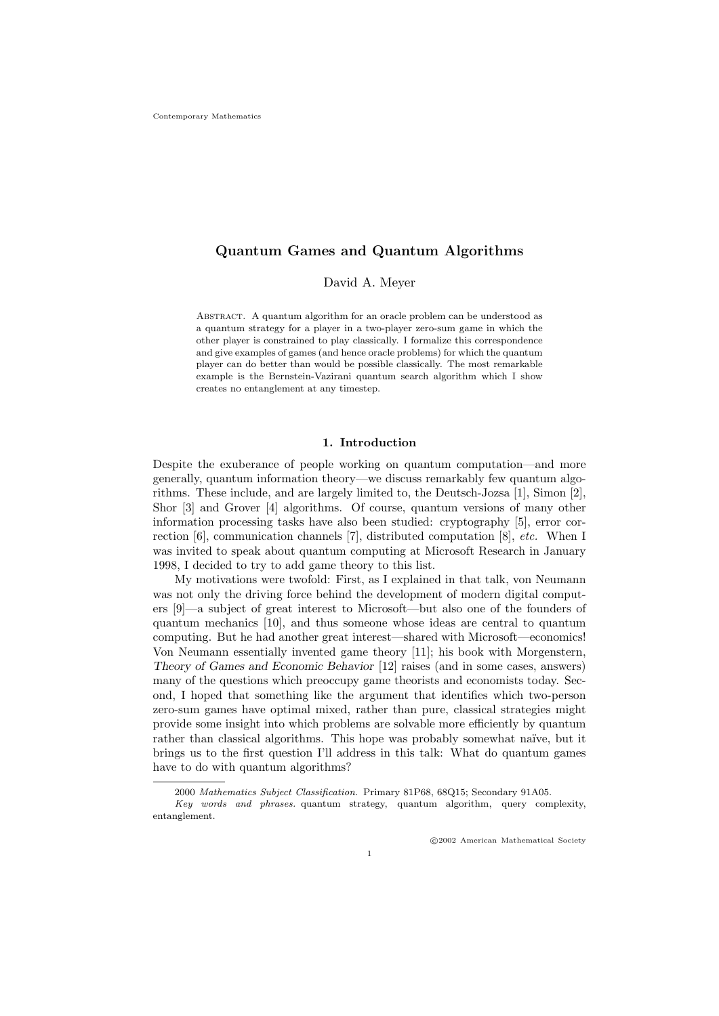# Quantum Games and Quantum Algorithms

David A. Meyer

Abstract. A quantum algorithm for an oracle problem can be understood as a quantum strategy for a player in a two-player zero-sum game in which the other player is constrained to play classically. I formalize this correspondence and give examples of games (and hence oracle problems) for which the quantum player can do better than would be possible classically. The most remarkable example is the Bernstein-Vazirani quantum search algorithm which I show creates no entanglement at any timestep.

### 1. Introduction

Despite the exuberance of people working on quantum computation—and more generally, quantum information theory—we discuss remarkably few quantum algorithms. These include, and are largely limited to, the Deutsch-Jozsa [1], Simon [2], Shor [3] and Grover [4] algorithms. Of course, quantum versions of many other information processing tasks have also been studied: cryptography [5], error correction [6], communication channels [7], distributed computation [8], etc. When I was invited to speak about quantum computing at Microsoft Research in January 1998, I decided to try to add game theory to this list.

My motivations were twofold: First, as I explained in that talk, von Neumann was not only the driving force behind the development of modern digital computers [9]—a subject of great interest to Microsoft—but also one of the founders of quantum mechanics [10], and thus someone whose ideas are central to quantum computing. But he had another great interest—shared with Microsoft—economics! Von Neumann essentially invented game theory [11]; his book with Morgenstern, Theory of Games and Economic Behavior [12] raises (and in some cases, answers) many of the questions which preoccupy game theorists and economists today. Second, I hoped that something like the argument that identifies which two-person zero-sum games have optimal mixed, rather than pure, classical strategies might provide some insight into which problems are solvable more efficiently by quantum rather than classical algorithms. This hope was probably somewhat naïve, but it brings us to the first question I'll address in this talk: What do quantum games have to do with quantum algorithms?

<sup>2000</sup> Mathematics Subject Classification. Primary 81P68, 68Q15; Secondary 91A05.

Key words and phrases. quantum strategy, quantum algorithm, query complexity, entanglement.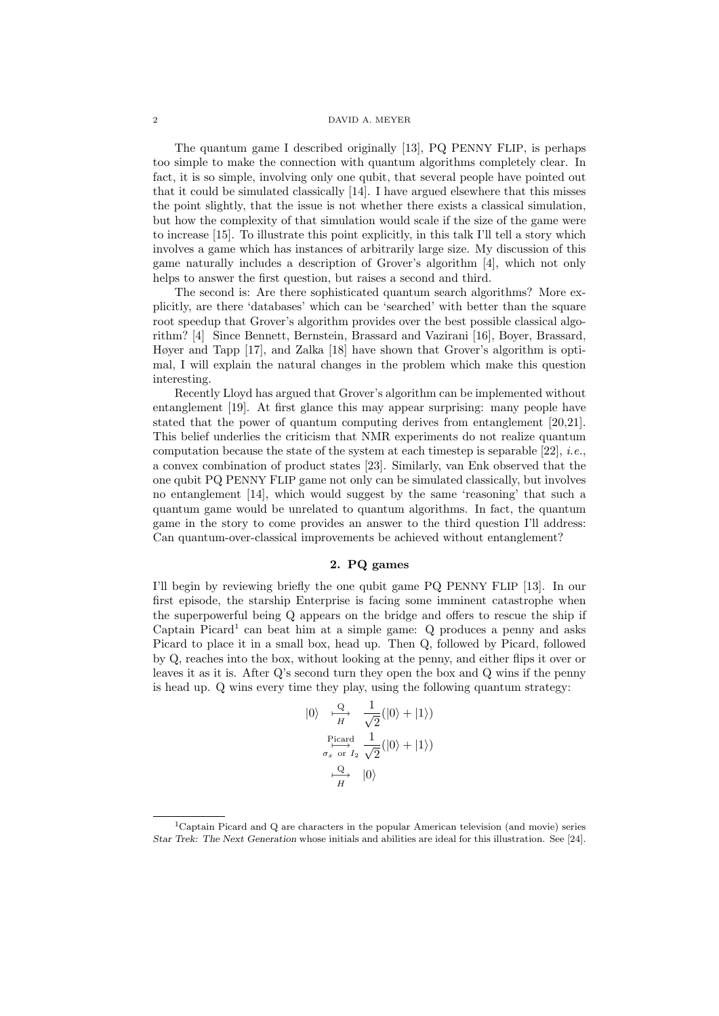#### 2 DAVID A. MEYER

The quantum game I described originally [13], PQ PENNY FLIP, is perhaps too simple to make the connection with quantum algorithms completely clear. In fact, it is so simple, involving only one qubit, that several people have pointed out that it could be simulated classically [14]. I have argued elsewhere that this misses the point slightly, that the issue is not whether there exists a classical simulation, but how the complexity of that simulation would scale if the size of the game were to increase [15]. To illustrate this point explicitly, in this talk I'll tell a story which involves a game which has instances of arbitrarily large size. My discussion of this game naturally includes a description of Grover's algorithm [4], which not only helps to answer the first question, but raises a second and third.

The second is: Are there sophisticated quantum search algorithms? More explicitly, are there 'databases' which can be 'searched' with better than the square root speedup that Grover's algorithm provides over the best possible classical algorithm? [4] Since Bennett, Bernstein, Brassard and Vazirani [16], Boyer, Brassard, Høyer and Tapp [17], and Zalka [18] have shown that Grover's algorithm is optimal, I will explain the natural changes in the problem which make this question interesting.

Recently Lloyd has argued that Grover's algorithm can be implemented without entanglement [19]. At first glance this may appear surprising: many people have stated that the power of quantum computing derives from entanglement [20,21]. This belief underlies the criticism that NMR experiments do not realize quantum computation because the state of the system at each timestep is separable  $[22]$ , *i.e.*, a convex combination of product states [23]. Similarly, van Enk observed that the one qubit PQ PENNY FLIP game not only can be simulated classically, but involves no entanglement [14], which would suggest by the same 'reasoning' that such a quantum game would be unrelated to quantum algorithms. In fact, the quantum game in the story to come provides an answer to the third question I'll address: Can quantum-over-classical improvements be achieved without entanglement?

### 2. PQ games

I'll begin by reviewing briefly the one qubit game PQ PENNY FLIP [13]. In our first episode, the starship Enterprise is facing some imminent catastrophe when the superpowerful being Q appears on the bridge and offers to rescue the ship if Captain Picard<sup>1</sup> can beat him at a simple game:  $Q$  produces a penny and asks Picard to place it in a small box, head up. Then Q, followed by Picard, followed by Q, reaches into the box, without looking at the penny, and either flips it over or leaves it as it is. After Q's second turn they open the box and Q wins if the penny is head up. Q wins every time they play, using the following quantum strategy:

$$
|0\rangle \xrightarrow[H]{Q} \frac{1}{\sqrt{2}}(|0\rangle + |1\rangle)
$$
  
\n
$$
\xrightarrow[\sigma_x \text{ or } I_2]{\text{Picard}} \frac{1}{\sqrt{2}}(|0\rangle + |1\rangle)
$$
  
\n
$$
\xrightarrow[H]{Q} |0\rangle
$$

<sup>&</sup>lt;sup>1</sup>Captain Picard and Q are characters in the popular American television (and movie) series Star Trek: The Next Generation whose initials and abilities are ideal for this illustration. See [24].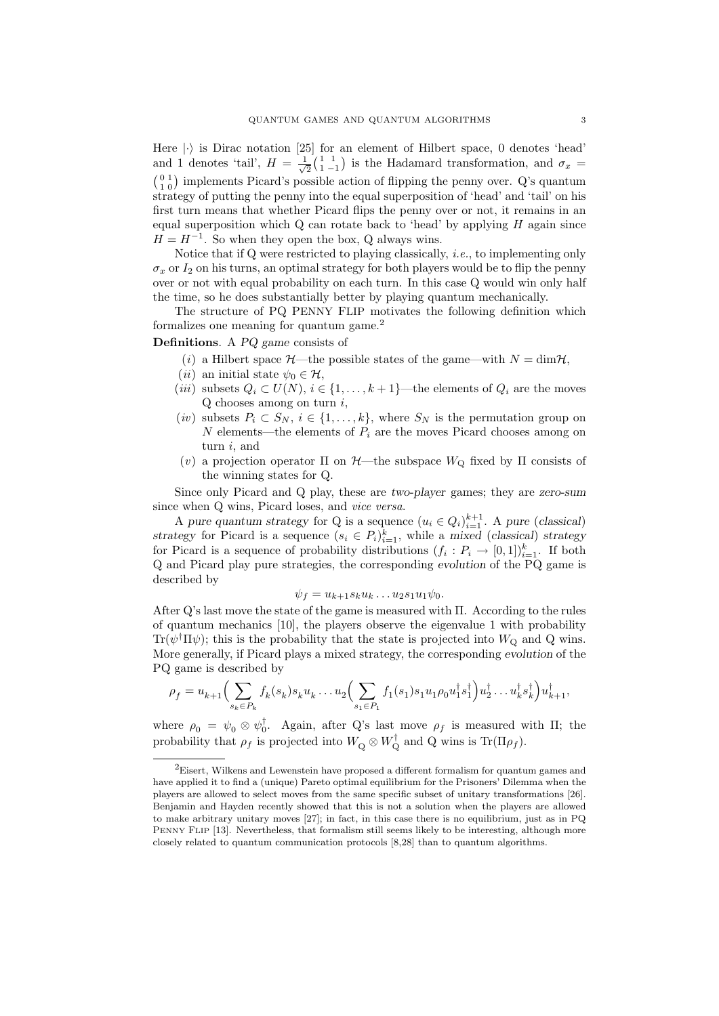Here  $|\cdot\rangle$  is Dirac notation [25] for an element of Hilbert space, 0 denotes 'head' and 1 denotes 'tail',  $H = \frac{1}{\sqrt{2}}$  $\frac{1}{2}$  $\left(\begin{matrix} 1 & 1 \\ 1 & -1 \end{matrix}\right)$  is the Hadamard transformation, and  $\sigma_x$  =  $\binom{0}{1}$  implements Picard's possible action of flipping the penny over. Q's quantum strategy of putting the penny into the equal superposition of 'head' and 'tail' on his first turn means that whether Picard flips the penny over or not, it remains in an equal superposition which  $Q$  can rotate back to 'head' by applying  $H$  again since  $H = H^{-1}$ . So when they open the box, Q always wins.

Notice that if Q were restricted to playing classically, i.e., to implementing only  $\sigma_x$  or  $I_2$  on his turns, an optimal strategy for both players would be to flip the penny over or not with equal probability on each turn. In this case Q would win only half the time, so he does substantially better by playing quantum mechanically.

The structure of PQ PENNY FLIP motivates the following definition which formalizes one meaning for quantum game.<sup>2</sup>

## Definitions. A PO game consists of

- (i) a Hilbert space  $\mathcal{H}$ —the possible states of the game—with  $N = \dim \mathcal{H}$ ,
- (*ii*) an initial state  $\psi_0 \in \mathcal{H}$ ,
- (*iii*) subsets  $Q_i \subset U(N)$ ,  $i \in \{1, ..., k+1\}$ —the elements of  $Q_i$  are the moves  $Q$  chooses among on turn  $i$ ,
- (iv) subsets  $P_i \subset S_N$ ,  $i \in \{1, ..., k\}$ , where  $S_N$  is the permutation group on N elements—the elements of  $P_i$  are the moves Picard chooses among on turn i, and
- (*v*) a projection operator Π on  $H$ —the subspace  $W_Q$  fixed by Π consists of the winning states for Q.

Since only Picard and Q play, these are two-player games; they are zero-sum since when Q wins, Picard loses, and *vice versa*.

A pure quantum strategy for Q is a sequence  $(u_i \in Q_i)_{i=1}^{k+1}$ . A pure (classical) strategy for Picard is a sequence  $(s_i \in P_i)_{i=1}^k$ , while a mixed (classical) strategy for Picard is a sequence of probability distributions  $(f_i: P_i \to [0,1])_{i=1}^k$ . If both Q and Picard play pure strategies, the corresponding evolution of the PQ game is described by

$$
\psi_f = u_{k+1} s_k u_k \dots u_2 s_1 u_1 \psi_0.
$$

After Q's last move the state of the game is measured with Π. According to the rules of quantum mechanics [10], the players observe the eigenvalue 1 with probability  $\text{Tr}(\psi^{\dagger} \Pi \psi)$ ; this is the probability that the state is projected into  $W_{Q}$  and Q wins. More generally, if Picard plays a mixed strategy, the corresponding evolution of the PQ game is described by

$$
\rho_f = u_{k+1} \Big( \sum_{s_k \in P_k} f_k(s_k) s_k u_k \dots u_2 \Big( \sum_{s_1 \in P_1} f_1(s_1) s_1 u_1 \rho_0 u_1^{\dagger} s_1^{\dagger} \Big) u_2^{\dagger} \dots u_k^{\dagger} s_k^{\dagger} \Big) u_{k+1}^{\dagger},
$$

where  $\rho_0 = \psi_0 \otimes \psi_0^{\dagger}$ <sup> $\overline{0}$ </sup>. Again, after Q's last move  $\rho_f$  is measured with  $\Pi$ ; the probability that  $\rho_f$  is projected into  $W_Q \otimes W_Q^{\dagger}$  and Q wins is Tr( $\Pi \rho_f$ ).

<sup>2</sup>Eisert, Wilkens and Lewenstein have proposed a different formalism for quantum games and have applied it to find a (unique) Pareto optimal equilibrium for the Prisoners' Dilemma when the players are allowed to select moves from the same specific subset of unitary transformations [26]. Benjamin and Hayden recently showed that this is not a solution when the players are allowed to make arbitrary unitary moves [27]; in fact, in this case there is no equilibrium, just as in PQ PENNY FLIP [13]. Nevertheless, that formalism still seems likely to be interesting, although more closely related to quantum communication protocols [8,28] than to quantum algorithms.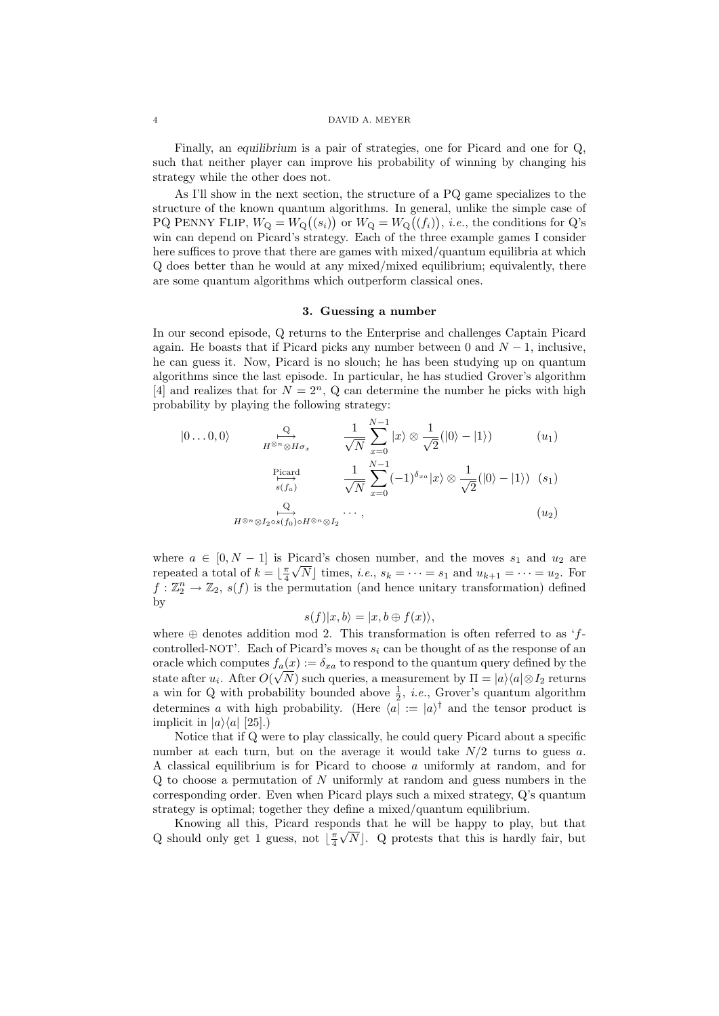#### 4 DAVID A. MEYER

Finally, an equilibrium is a pair of strategies, one for Picard and one for Q, such that neither player can improve his probability of winning by changing his strategy while the other does not.

As I'll show in the next section, the structure of a PQ game specializes to the structure of the known quantum algorithms. In general, unlike the simple case of PQ PENNY FLIP,  $W_Q = W_Q((s_i))$  or  $W_Q = W_Q((f_i))$ , *i.e.*, the conditions for Q's win can depend on Picard's strategy. Each of the three example games I consider here suffices to prove that there are games with mixed/quantum equilibria at which Q does better than he would at any mixed/mixed equilibrium; equivalently, there are some quantum algorithms which outperform classical ones.

## 3. Guessing a number

In our second episode, Q returns to the Enterprise and challenges Captain Picard again. He boasts that if Picard picks any number between 0 and  $N-1$ , inclusive, he can guess it. Now, Picard is no slouch; he has been studying up on quantum algorithms since the last episode. In particular, he has studied Grover's algorithm [4] and realizes that for  $N = 2<sup>n</sup>$ , Q can determine the number he picks with high probability by playing the following strategy:

$$
|0...0,0\rangle \qquad \xrightarrow[H^{\otimes n} \otimes H\sigma_x]{\mathcal{Q}} \qquad \frac{1}{\sqrt{N}} \sum_{x=0}^{N-1} |x\rangle \otimes \frac{1}{\sqrt{2}}(|0\rangle - |1\rangle) \qquad (u_1)
$$
\n
$$
\xrightarrow[\epsilon]{}^{\text{Picard}} \qquad \frac{1}{\sqrt{N}} \sum_{x=0}^{N-1} (-1)^{\delta_{xa}} |x\rangle \otimes \frac{1}{\sqrt{2}}(|0\rangle - |1\rangle) \quad (s_1)
$$
\n
$$
H^{\otimes n} \otimes I_{2} \circ s(f_0) \circ H^{\otimes n} \otimes I_{2} \qquad \cdots,
$$
\n
$$
(u_2)
$$

where  $a \in [0, N - 1]$  is Picard's chosen number, and the moves  $s_1$  and  $u_2$  are repeated a total of  $k = \lfloor \frac{\pi}{4} \sqrt{N} \rfloor$  times, *i.e.*,  $s_k = \cdots = s_1$  and  $u_{k+1} = \cdots = u_2$ . For  $f: \mathbb{Z}_2^n \to \mathbb{Z}_2$ ,  $s(f)$  is the permutation (and hence unitary transformation) defined by

$$
s(f)|x, b\rangle = |x, b \oplus f(x)\rangle,
$$

where  $\oplus$  denotes addition mod 2. This transformation is often referred to as 'fcontrolled-NOT'. Each of Picard's moves  $s_i$  can be thought of as the response of an oracle which computes  $f_a(x) := \delta_{xa}$  to respond to the quantum query defined by the state after  $u_i$ . After  $O(\sqrt{N})$  such queries, a measurement by  $\Pi = |a\rangle\langle a| \otimes I_2$  returns a win for Q with probability bounded above  $\frac{1}{2}$ , *i.e.*, Grover's quantum algorithm determines a with high probability. (Here  $\langle a | = |a\rangle^{\dagger}$  and the tensor product is implicit in  $|a\rangle\langle a|$  [25].)

Notice that if Q were to play classically, he could query Picard about a specific number at each turn, but on the average it would take  $N/2$  turns to guess a. A classical equilibrium is for Picard to choose a uniformly at random, and for  $Q$  to choose a permutation of N uniformly at random and guess numbers in the corresponding order. Even when Picard plays such a mixed strategy, Q's quantum strategy is optimal; together they define a mixed/quantum equilibrium.

Knowing all this, Picard responds that he will be happy to play, but that Q should only get 1 guess, not  $\lfloor \frac{\pi}{4} \sqrt{N} \rfloor$ . Q protests that this is hardly fair, but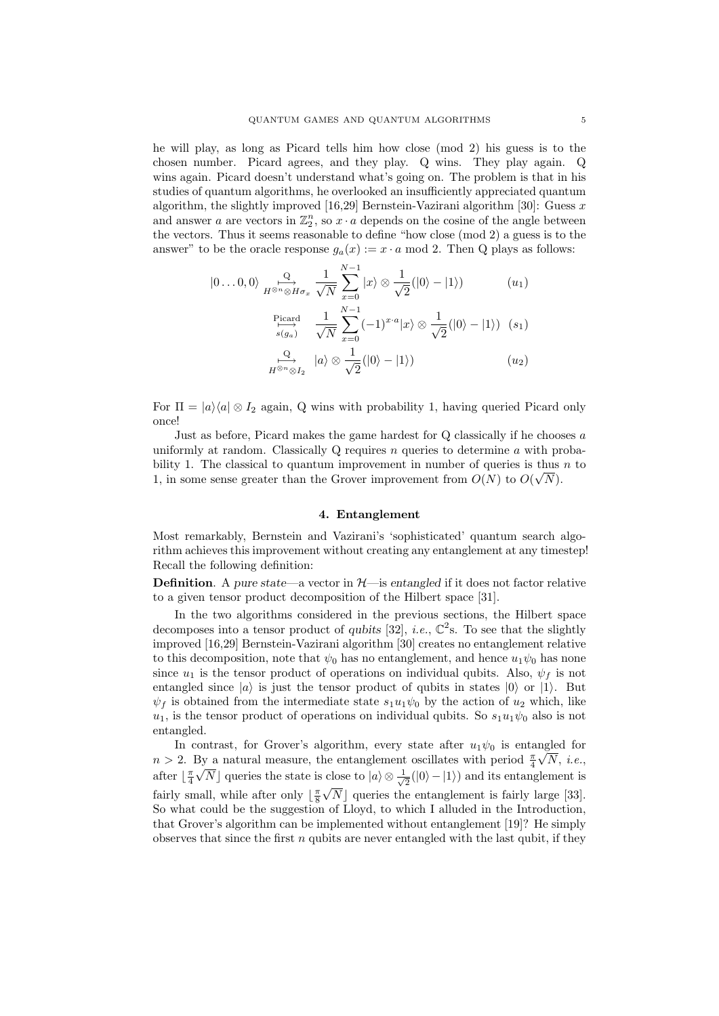he will play, as long as Picard tells him how close (mod 2) his guess is to the chosen number. Picard agrees, and they play. Q wins. They play again. Q wins again. Picard doesn't understand what's going on. The problem is that in his studies of quantum algorithms, he overlooked an insufficiently appreciated quantum algorithm, the slightly improved [16,29] Bernstein-Vazirani algorithm [30]: Guess  $x$ and answer a are vectors in  $\mathbb{Z}_2^n$ , so  $x \cdot a$  depends on the cosine of the angle between the vectors. Thus it seems reasonable to define "how close (mod 2) a guess is to the answer" to be the oracle response  $g_a(x) := x \cdot a \mod 2$ . Then Q plays as follows:

$$
|0...0,0\rangle \underset{H^{\otimes n} \otimes H\sigma_x}{\overset{Q}{\longleftrightarrow}} \frac{1}{\sqrt{N}} \sum_{x=0}^{N-1} |x\rangle \otimes \frac{1}{\sqrt{2}}(|0\rangle - |1\rangle)
$$
 (u<sub>1</sub>)  

$$
\underset{s(g_a)}{\overset{\text{Picard}}{\longmapsto}} \frac{1}{\sqrt{N}} \sum_{x=0}^{N-1} (-1)^{x \cdot a} |x\rangle \otimes \frac{1}{\sqrt{2}}(|0\rangle - |1\rangle)
$$
 (s<sub>1</sub>)  

$$
\underset{H^{\otimes n} \otimes I_2}{\overset{Q}{\longleftrightarrow}} |a\rangle \otimes \frac{1}{\sqrt{2}}(|0\rangle - |1\rangle)
$$
 (u<sub>2</sub>)

For  $\Pi = |a\rangle\langle a| \otimes I_2$  again, Q wins with probability 1, having queried Picard only once!

Just as before, Picard makes the game hardest for Q classically if he chooses a uniformly at random. Classically Q requires n queries to determine a with probability 1. The classical to quantum improvement in number of queries is thus  $n$  to 1, in some sense greater than the Grover improvement from  $O(N)$  to  $O(\sqrt{N})$ .

### 4. Entanglement

Most remarkably, Bernstein and Vazirani's 'sophisticated' quantum search algorithm achieves this improvement without creating any entanglement at any timestep! Recall the following definition:

**Definition**. A pure state—a vector in  $H$ —is entangled if it does not factor relative to a given tensor product decomposition of the Hilbert space [31].

In the two algorithms considered in the previous sections, the Hilbert space decomposes into a tensor product of qubits [32], *i.e.*,  $\mathbb{C}^2$ s. To see that the slightly improved [16,29] Bernstein-Vazirani algorithm [30] creates no entanglement relative to this decomposition, note that  $\psi_0$  has no entanglement, and hence  $u_1\psi_0$  has none since  $u_1$  is the tensor product of operations on individual qubits. Also,  $\psi_f$  is not entangled since  $|a\rangle$  is just the tensor product of qubits in states  $|0\rangle$  or  $|1\rangle$ . But  $\psi_f$  is obtained from the intermediate state  $s_1u_1\psi_0$  by the action of  $u_2$  which, like  $u_1$ , is the tensor product of operations on individual qubits. So  $s_1u_1\psi_0$  also is not entangled.

In contrast, for Grover's algorithm, every state after  $u_1\psi_0$  is entangled for  $n > 2$ . By a natural measure, the entanglement oscillates with period  $\frac{\pi}{4} \sqrt{N}$ , *i.e.*, after  $\lfloor \frac{\pi}{4} \sqrt{N} \rfloor$  queries the state is close to  $|a\rangle \otimes \frac{1}{\sqrt{N}}$ close to  $|a\rangle \otimes \frac{1}{\sqrt{2}}(|0\rangle - |1\rangle)$  and its entanglement is fairly small, while after only  $\lfloor \frac{\pi}{8} \sqrt{N} \rfloor$  queries the entanglement is fairly large [33]. So what could be the suggestion of Lloyd, to which I alluded in the Introduction, that Grover's algorithm can be implemented without entanglement [19]? He simply observes that since the first  $n$  qubits are never entangled with the last qubit, if they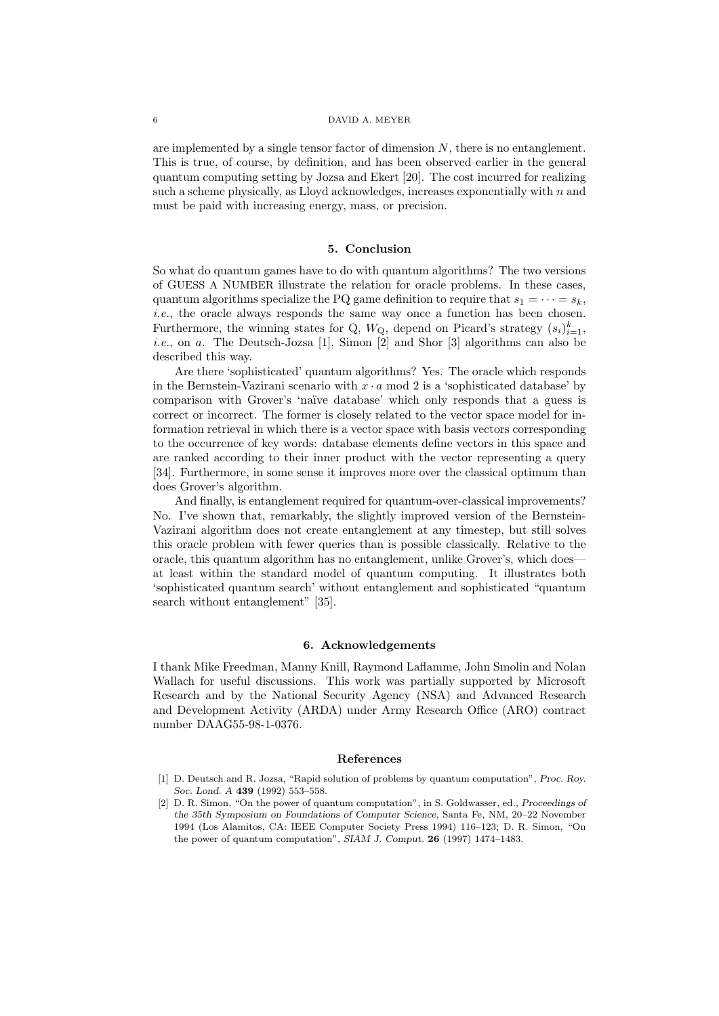are implemented by a single tensor factor of dimension  $N$ , there is no entanglement. This is true, of course, by definition, and has been observed earlier in the general quantum computing setting by Jozsa and Ekert [20]. The cost incurred for realizing such a scheme physically, as Lloyd acknowledges, increases exponentially with  $n$  and must be paid with increasing energy, mass, or precision.

## 5. Conclusion

So what do quantum games have to do with quantum algorithms? The two versions of GUESS A NUMBER illustrate the relation for oracle problems. In these cases, quantum algorithms specialize the PQ game definition to require that  $s_1 = \cdots = s_k$ , i.e., the oracle always responds the same way once a function has been chosen. Furthermore, the winning states for Q,  $W_{\mathbf{Q}}$ , depend on Picard's strategy  $(s_i)_{i=1}^k$ , i.e., on a. The Deutsch-Jozsa [1], Simon [2] and Shor [3] algorithms can also be described this way.

Are there 'sophisticated' quantum algorithms? Yes. The oracle which responds in the Bernstein-Vazirani scenario with  $x \cdot a \mod 2$  is a 'sophisticated database' by comparison with Grover's 'naïve database' which only responds that a guess is correct or incorrect. The former is closely related to the vector space model for information retrieval in which there is a vector space with basis vectors corresponding to the occurrence of key words: database elements define vectors in this space and are ranked according to their inner product with the vector representing a query [34]. Furthermore, in some sense it improves more over the classical optimum than does Grover's algorithm.

And finally, is entanglement required for quantum-over-classical improvements? No. I've shown that, remarkably, the slightly improved version of the Bernstein-Vazirani algorithm does not create entanglement at any timestep, but still solves this oracle problem with fewer queries than is possible classically. Relative to the oracle, this quantum algorithm has no entanglement, unlike Grover's, which does at least within the standard model of quantum computing. It illustrates both 'sophisticated quantum search' without entanglement and sophisticated "quantum search without entanglement" [35].

### 6. Acknowledgements

I thank Mike Freedman, Manny Knill, Raymond Laflamme, John Smolin and Nolan Wallach for useful discussions. This work was partially supported by Microsoft Research and by the National Security Agency (NSA) and Advanced Research and Development Activity (ARDA) under Army Research Office (ARO) contract number DAAG55-98-1-0376.

### References

- [1] D. Deutsch and R. Jozsa, "Rapid solution of problems by quantum computation", Proc. Roy. Soc. Lond. A 439 (1992) 553–558.
- [2] D. R. Simon, "On the power of quantum computation", in S. Goldwasser, ed., Proceedings of the 35th Symposium on Foundations of Computer Science, Santa Fe, NM, 20–22 November 1994 (Los Alamitos, CA: IEEE Computer Society Press 1994) 116–123; D. R. Simon, "On the power of quantum computation", SIAM J. Comput. 26 (1997) 1474–1483.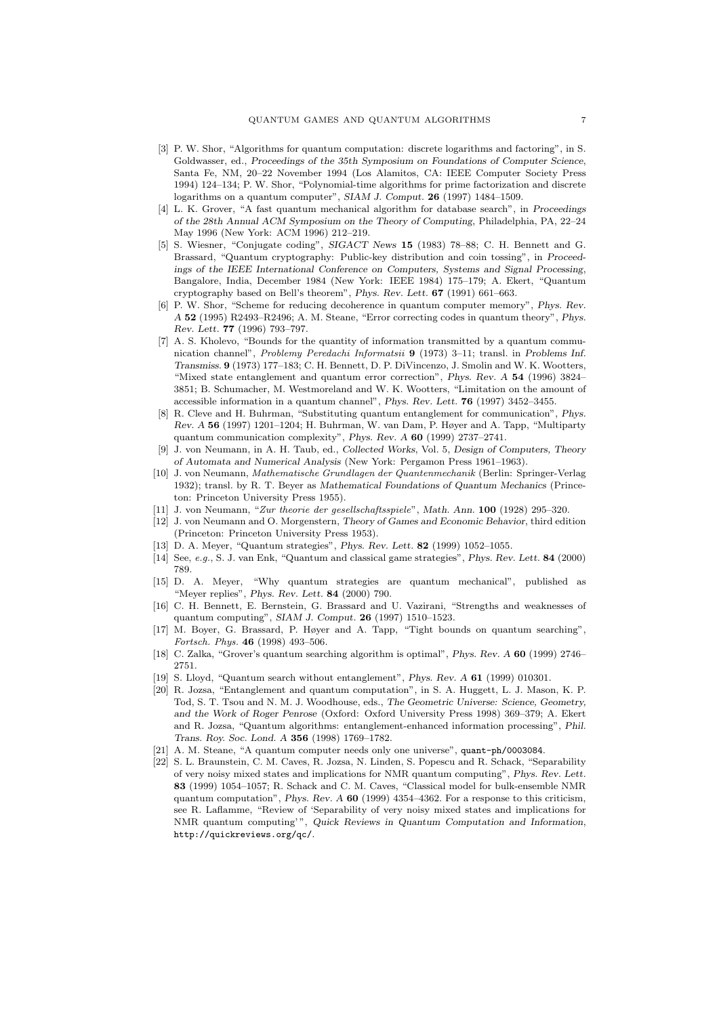- [3] P. W. Shor, "Algorithms for quantum computation: discrete logarithms and factoring", in S. Goldwasser, ed., Proceedings of the 35th Symposium on Foundations of Computer Science, Santa Fe, NM, 20–22 November 1994 (Los Alamitos, CA: IEEE Computer Society Press 1994) 124–134; P. W. Shor, "Polynomial-time algorithms for prime factorization and discrete logarithms on a quantum computer", SIAM J. Comput. 26 (1997) 1484–1509.
- [4] L. K. Grover, "A fast quantum mechanical algorithm for database search", in Proceedings of the 28th Annual ACM Symposium on the Theory of Computing, Philadelphia, PA, 22–24 May 1996 (New York: ACM 1996) 212–219.
- [5] S. Wiesner, "Conjugate coding", SIGACT News 15 (1983) 78–88; C. H. Bennett and G. Brassard, "Quantum cryptography: Public-key distribution and coin tossing", in Proceedings of the IEEE International Conference on Computers, Systems and Signal Processing, Bangalore, India, December 1984 (New York: IEEE 1984) 175–179; A. Ekert, "Quantum cryptography based on Bell's theorem", Phys. Rev. Lett. 67 (1991) 661–663.
- [6] P. W. Shor, "Scheme for reducing decoherence in quantum computer memory", Phys. Rev. A 52 (1995) R2493–R2496; A. M. Steane, "Error correcting codes in quantum theory", Phys. Rev. Lett. 77 (1996) 793–797.
- [7] A. S. Kholevo, "Bounds for the quantity of information transmitted by a quantum communication channel", Problemy Peredachi Informatsii 9 (1973) 3–11; transl. in Problems Inf. Transmiss. 9 (1973) 177–183; C. H. Bennett, D. P. DiVincenzo, J. Smolin and W. K. Wootters, "Mixed state entanglement and quantum error correction", Phys. Rev. A 54 (1996) 3824– 3851; B. Schumacher, M. Westmoreland and W. K. Wootters, "Limitation on the amount of accessible information in a quantum channel", Phys. Rev. Lett. 76 (1997) 3452–3455.
- [8] R. Cleve and H. Buhrman, "Substituting quantum entanglement for communication", Phys. Rev. A 56 (1997) 1201–1204; H. Buhrman, W. van Dam, P. Høyer and A. Tapp, "Multiparty quantum communication complexity", Phys. Rev. A 60 (1999) 2737–2741.
- [9] J. von Neumann, in A. H. Taub, ed., Collected Works, Vol. 5, Design of Computers, Theory of Automata and Numerical Analysis (New York: Pergamon Press 1961–1963).
- [10] J. von Neumann, Mathematische Grundlagen der Quantenmechanik (Berlin: Springer-Verlag 1932); transl. by R. T. Beyer as Mathematical Foundations of Quantum Mechanics (Princeton: Princeton University Press 1955).
- [11] J. von Neumann, "Zur theorie der gesellschaftsspiele", Math. Ann. 100 (1928) 295–320.
- [12] J. von Neumann and O. Morgenstern, Theory of Games and Economic Behavior, third edition (Princeton: Princeton University Press 1953).
- [13] D. A. Meyer, "Quantum strategies", *Phys. Rev. Lett.* **82** (1999) 1052-1055.
- [14] See, e.g., S. J. van Enk, "Quantum and classical game strategies", Phys. Rev. Lett. 84 (2000) 789.
- [15] D. A. Meyer, "Why quantum strategies are quantum mechanical", published as "Meyer replies", Phys. Rev. Lett. 84 (2000) 790.
- [16] C. H. Bennett, E. Bernstein, G. Brassard and U. Vazirani, "Strengths and weaknesses of quantum computing", SIAM J. Comput. 26 (1997) 1510–1523.
- [17] M. Boyer, G. Brassard, P. Høyer and A. Tapp, "Tight bounds on quantum searching", Fortsch. Phys. 46 (1998) 493–506.
- [18] C. Zalka, "Grover's quantum searching algorithm is optimal", Phys. Rev. A 60 (1999) 2746– 2751.
- [19] S. Lloyd, "Quantum search without entanglement", Phys. Rev. A 61 (1999) 010301.
- [20] R. Jozsa, "Entanglement and quantum computation", in S. A. Huggett, L. J. Mason, K. P. Tod, S. T. Tsou and N. M. J. Woodhouse, eds., The Geometric Universe: Science, Geometry, and the Work of Roger Penrose (Oxford: Oxford University Press 1998) 369–379; A. Ekert and R. Jozsa, "Quantum algorithms: entanglement-enhanced information processing", Phil. Trans. Roy. Soc. Lond. A 356 (1998) 1769–1782.
- [21] A. M. Steane, "A quantum computer needs only one universe", quant-ph/0003084.
- [22] S. L. Braunstein, C. M. Caves, R. Jozsa, N. Linden, S. Popescu and R. Schack, "Separability of very noisy mixed states and implications for NMR quantum computing", Phys. Rev. Lett. 83 (1999) 1054–1057; R. Schack and C. M. Caves, "Classical model for bulk-ensemble NMR quantum computation", Phys. Rev.  $A$  60 (1999) 4354–4362. For a response to this criticism, see R. Laflamme, "Review of 'Separability of very noisy mixed states and implications for NMR quantum computing'", Quick Reviews in Quantum Computation and Information, http://quickreviews.org/qc/.